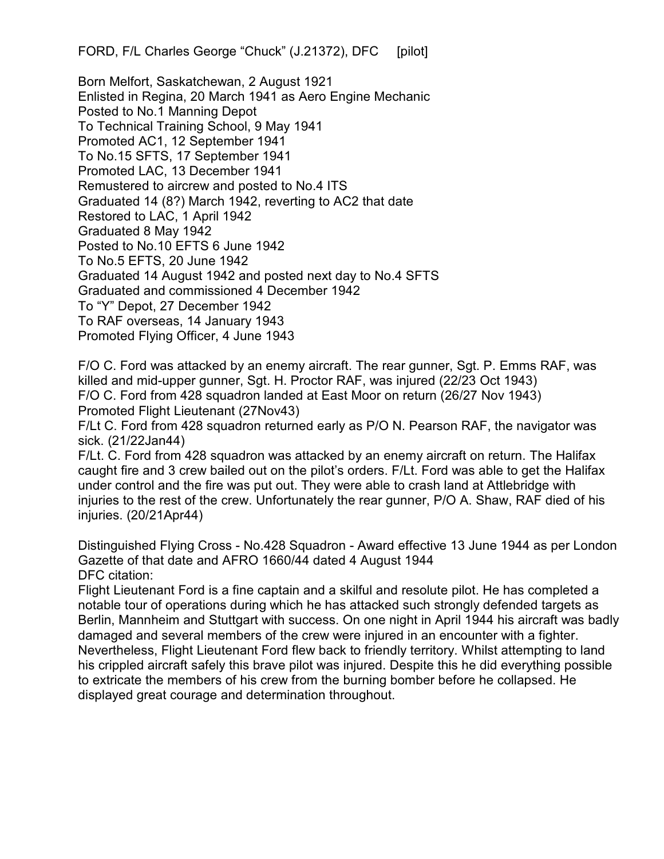FORD, F/L Charles George "Chuck" (J.21372), DFC [pilot]

Born Melfort, Saskatchewan, 2 August 1921 Enlisted in Regina, 20 March 1941 as Aero Engine Mechanic Posted to No.1 Manning Depot To Technical Training School, 9 May 1941 Promoted AC1, 12 September 1941 To No.15 SFTS, 17 September 1941 Promoted LAC, 13 December 1941 Remustered to aircrew and posted to No.4 ITS Graduated 14 (8?) March 1942, reverting to AC2 that date Restored to LAC, 1 April 1942 Graduated 8 May 1942 Posted to No.10 EFTS 6 June 1942 To No.5 EFTS, 20 June 1942 Graduated 14 August 1942 and posted next day to No.4 SFTS Graduated and commissioned 4 December 1942 To "Y" Depot, 27 December 1942 To RAF overseas, 14 January 1943 Promoted Flying Officer, 4 June 1943

F/O C. Ford was attacked by an enemy aircraft. The rear gunner, Sgt. P. Emms RAF, was killed and mid-upper gunner, Sgt. H. Proctor RAF, was injured (22/23 Oct 1943) F/O C. Ford from 428 squadron landed at East Moor on return (26/27 Nov 1943) Promoted Flight Lieutenant (27Nov43)

F/Lt C. Ford from 428 squadron returned early as P/O N. Pearson RAF, the navigator was sick. (21/22Jan44)

F/Lt. C. Ford from 428 squadron was attacked by an enemy aircraft on return. The Halifax caught fire and 3 crew bailed out on the pilot's orders. F/Lt. Ford was able to get the Halifax under control and the fire was put out. They were able to crash land at Attlebridge with injuries to the rest of the crew. Unfortunately the rear gunner, P/O A. Shaw, RAF died of his injuries. (20/21Apr44)

Distinguished Flying Cross - No.428 Squadron - Award effective 13 June 1944 as per London Gazette of that date and AFRO 1660/44 dated 4 August 1944 DFC citation:

Flight Lieutenant Ford is a fine captain and a skilful and resolute pilot. He has completed a notable tour of operations during which he has attacked such strongly defended targets as Berlin, Mannheim and Stuttgart with success. On one night in April 1944 his aircraft was badly damaged and several members of the crew were injured in an encounter with a fighter. Nevertheless, Flight Lieutenant Ford flew back to friendly territory. Whilst attempting to land his crippled aircraft safely this brave pilot was injured. Despite this he did everything possible to extricate the members of his crew from the burning bomber before he collapsed. He displayed great courage and determination throughout.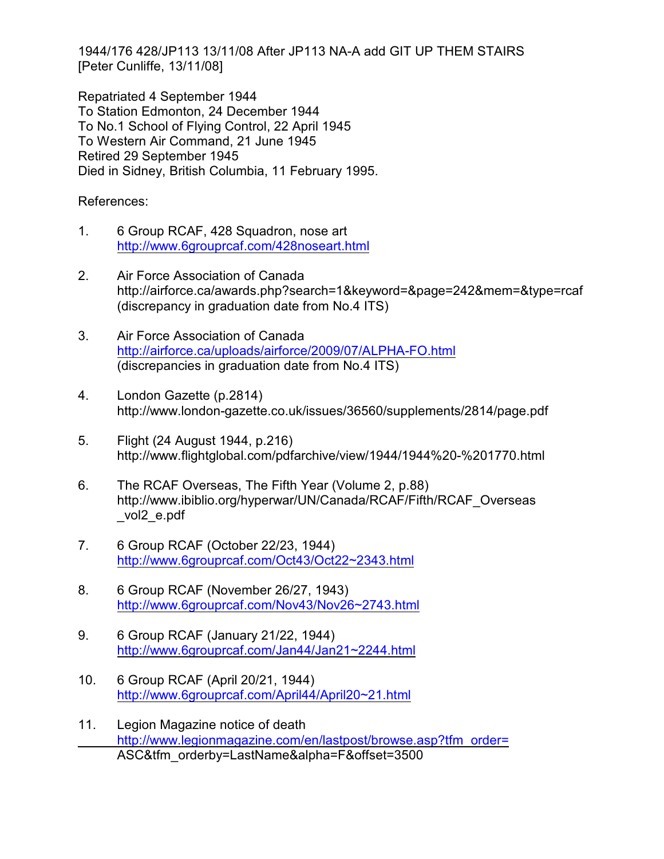1944/176 428/JP113 13/11/08 After JP113 NA-A add GIT UP THEM STAIRS [Peter Cunliffe, 13/11/08]

Repatriated 4 September 1944 To Station Edmonton, 24 December 1944 To No.1 School of Flying Control, 22 April 1945 To Western Air Command, 21 June 1945 Retired 29 September 1945 Died in Sidney, British Columbia, 11 February 1995.

References:

- 1. 6 Group RCAF, 428 Squadron, nose art <http://www.6grouprcaf.com/428noseart.html>
- 2. Air Force Association of Canada http://airforce.ca/awards.php?search=1&keyword=&page=242&mem=&type=rcaf (discrepancy in graduation date from No.4 ITS)
- 3. Air Force Association of Canada <http://airforce.ca/uploads/airforce/2009/07/ALPHA-FO.html> (discrepancies in graduation date from No.4 ITS)
- 4. London Gazette (p.2814) http://www.london-gazette.co.uk/issues/36560/supplements/2814/page.pdf
- 5. Flight (24 August 1944, p.216) http://www.flightglobal.com/pdfarchive/view/1944/1944%20-%201770.html
- 6. The RCAF Overseas, The Fifth Year (Volume 2, p.88) http://www.ibiblio.org/hyperwar/UN/Canada/RCAF/Fifth/RCAF\_Overseas \_vol2\_e.pdf
- 7. 6 Group RCAF (October 22/23, 1944) <http://www.6grouprcaf.com/Oct43/Oct22~2343.html>
- 8. 6 Group RCAF (November 26/27, 1943) <http://www.6grouprcaf.com/Nov43/Nov26~2743.html>
- 9. 6 Group RCAF (January 21/22, 1944) <http://www.6grouprcaf.com/Jan44/Jan21~2244.html>
- 10. 6 Group RCAF (April 20/21, 1944) <http://www.6grouprcaf.com/April44/April20~21.html>
- 11. Legion Magazine notice of death [http://www.legionmagazine.com/en/lastpost/browse.asp?tfm\\_order=](http://www.legionmagazine.com/en/lastpost/browse.asp?tfm_order=) ASC&tfm\_orderby=LastName&alpha=F&offset=3500